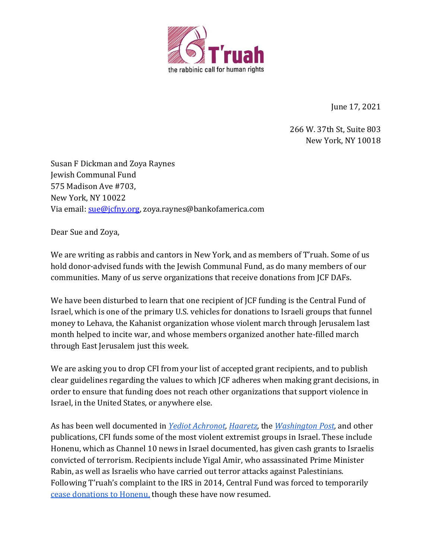

June 17, 2021

266 W. 37th St, Suite 803 New York, NY 10018

Susan F Dickman and Zoya Raynes Jewish Communal Fund 575 Madison Ave #703, New York, NY 10022 Via email: [sue@jcfny.org,](mailto:sue@jcfny.org) zoya.raynes@bankofamerica.com

Dear Sue and Zoya,

We are writing as rabbis and cantors in New York, and as members of T'ruah. Some of us hold donor-advised funds with the Jewish Communal Fund, as do many members of our communities. Many of us serve organizations that receive donations from JCF DAFs.

We have been disturbed to learn that one recipient of JCF funding is the Central Fund of Israel, which is one of the primary U.S. vehicles for donations to Israeli groups that funnel money to Lehava, the Kahanist organization whose violent march through Jerusalem last month helped to incite war, and whose members organized another hate-filled march through East Jerusalem just this week.

We are asking you to drop CFI from your list of accepted grant recipients, and to publish clear guidelines regarding the values to which JCF adheres when making grant decisions, in order to ensure that funding does not reach other organizations that support violence in Israel, in the United States, or anywhere else.

As has been well documented in *[Yediot Achronot,](https://www.ynetnews.com/articles/0,7340,L-5469638,00.html) [Haaretz,](https://www.haaretz.com/.premium-unraveling-the-story-of-one-the-main-u-s-donors-to-the-settlements-1.5377041)* the *[Washington Post,](https://www.washingtonpost.com/outlook/your-tax-dollars-are-propping-up-the-intellectual-heirs-to-an-israeli-terrorist/2019/01/10/3683c6e0-0efa-11e9-8938-5898adc28fa2_story.html)* and other publications, CFI funds some of the most violent extremist groups in Israel. These include Honenu, which as Channel 10 news in Israel documented, has given cash grants to Israelis convicted of terrorism. Recipients include Yigal Amir, who assassinated Prime Minister Rabin, as well as Israelis who have carried out terror attacks against Palestinians. Following T'ruah's complaint to the IRS in 2014, Central Fund was forced to temporarily [cease donations to Honenu,](https://forward.com/news/israel/371007/is-a-jewish-group-funding-killers-while-the-us-slams-palestinians-for-doing/) though these have now resumed.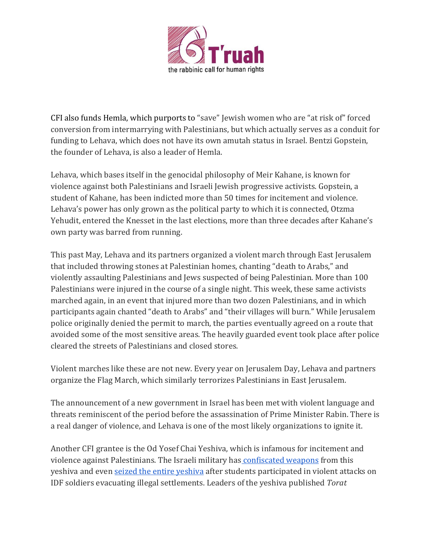

CFI also funds Hemla, which purports to "save" Jewish women who are "at risk of" forced conversion from intermarrying with Palestinians, but which actually serves as a conduit for funding to Lehava, which does not have its own amutah status in Israel. Bentzi Gopstein, the founder of Lehava, is also a leader of Hemla.

Lehava, which bases itself in the genocidal philosophy of Meir Kahane, is known for violence against both Palestinians and Israeli Jewish progressive activists. Gopstein, a student of Kahane, has been indicted more than 50 times for incitement and violence. Lehava's power has only grown as the political party to which it is connected, Otzma Yehudit, entered the Knesset in the last elections, more than three decades after Kahane's own party was barred from running.

This past May, Lehava and its partners organized a violent march through East Jerusalem that included throwing stones at Palestinian homes, chanting "death to Arabs," and violently assaulting Palestinians and Jews suspected of being Palestinian. More than 100 Palestinians were injured in the course of a single night. This week, these same activists marched again, in an event that injured more than two dozen Palestinians, and in which participants again chanted "death to Arabs" and "their villages will burn." While Jerusalem police originally denied the permit to march, the parties eventually agreed on a route that avoided some of the most sensitive areas. The heavily guarded event took place after police cleared the streets of Palestinians and closed stores.

Violent marches like these are not new. Every year on Jerusalem Day, Lehava and partners organize the Flag March, which similarly terrorizes Palestinians in East Jerusalem.

The announcement of a new government in Israel has been met with violent language and threats reminiscent of the period before the assassination of Prime Minister Rabin. There is a real danger of violence, and Lehava is one of the most likely organizations to ignite it.

Another CFI grantee is the Od Yosef Chai Yeshiva, which is infamous for incitement and violence against Palestinians. The Israeli military has [confiscated weapons](https://www.jta.org/2016/03/16/israel/2-teens-arrested-weapons-confiscated-in-raid-on-west-bank-jewish-settlement) from this yeshiva and even [seized the entire yeshiva](https://www.haaretz.com/1.5088576) after students participated in violent attacks on IDF soldiers evacuating illegal settlements. Leaders of the yeshiva published *Torat*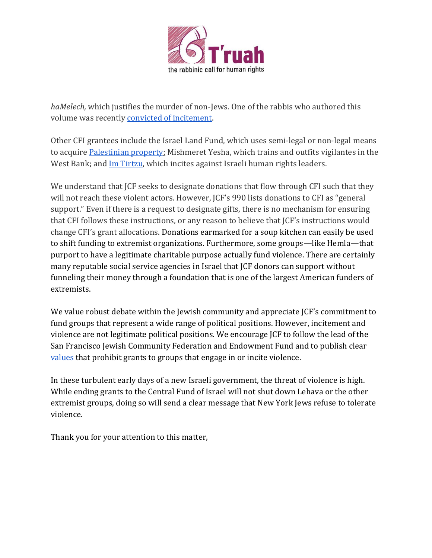

*haMelech,* which justifies the murder of non-Jews. One of the rabbis who authored this volume was recently [convicted of incitement.](https://www.haaretz.com/israel-news/.premium-rabbi-from-israeli-settlement-convicted-of-inciting-to-violence-and-encouraging-hate-1.9505681)

Other CFI grantees include the Israel Land Fund, which uses semi-legal or non-legal means to acquire [Palestinian property;](https://www.haaretz.com/.premium-aspiring-councilor-in-j-lem-arabs-out-1.5324059) Mishmeret Yesha, which trains and outfits vigilantes in the West Bank; and [Im Tirtzu,](https://www.haaretz.com/opinion/.premium-the-proto-fascist-plot-to-destroy-israeli-democracy-1.5378187) which incites against Israeli human rights leaders.

We understand that JCF seeks to designate donations that flow through CFI such that they will not reach these violent actors. However, JCF's 990 lists donations to CFI as "general support." Even if there is a request to designate gifts, there is no mechanism for ensuring that CFI follows these instructions, or any reason to believe that JCF's instructions would change CFI's grant allocations. Donations earmarked for a soup kitchen can easily be used to shift funding to extremist organizations. Furthermore, some groups—like Hemla—that purport to have a legitimate charitable purpose actually fund violence. There are certainly many reputable social service agencies in Israel that JCF donors can support without funneling their money through a foundation that is one of the largest American funders of extremists.

We value robust debate within the Jewish community and appreciate JCF's commitment to fund groups that represent a wide range of political positions. However, incitement and violence are not legitimate political positions. We encourage JCF to follow the lead of the San Francisco Jewish Community Federation and Endowment Fund and to publish clear [values](https://jewishfed.org/federation%E2%80%99s-israel-funding-guidelines) that prohibit grants to groups that engage in or incite violence.

In these turbulent early days of a new Israeli government, the threat of violence is high. While ending grants to the Central Fund of Israel will not shut down Lehava or the other extremist groups, doing so will send a clear message that New York Jews refuse to tolerate violence.

Thank you for your attention to this matter,